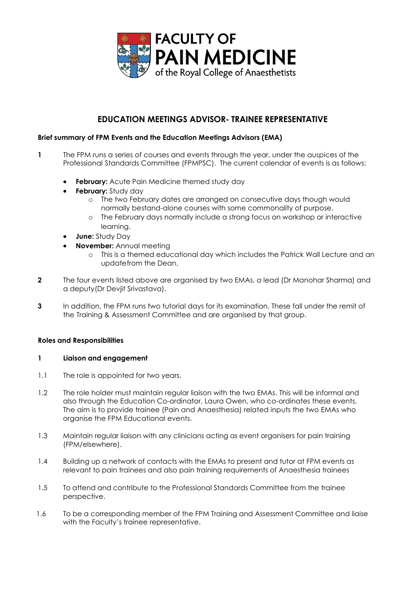

# **EDUCATION MEETINGS ADVISOR- TRAINEE REPRESENTATIVE**

## **Brief summary of FPM Events and the Education Meetings Advisors (EMA)**

- **1** The FPM runs a series of courses and events through the year, under the auspices of the Professional Standards Committee (FPMPSC). The current calendar of events is as follows:
	- **February:** Acute Pain Medicine themed study day
	- **February:** Study day
		- o The two February dates are arranged on consecutive days though would normally bestand-alone courses with some commonality of purpose.
		- o The February days normally include a strong focus on workshop or interactive learning.
	- **June:** Study Day
	- **November:** Annual meeting
		- o This is a themed educational day which includes the Patrick Wall Lecture and an updatefrom the Dean.
- **2** The four events listed above are organised by two EMAs, a lead (Dr Manohar Sharma) and a deputy(Dr Devjit Srivastava).
- **3** In addition, the FPM runs two tutorial days for its examination. These fall under the remit of the Training & Assessment Committee and are organised by that group.

### **Roles and Responsibilities**

### **1 Liaison and engagement**

- 1.1 The role is appointed for two years.
- 1.2 The role holder must maintain regular liaison with the two EMAs. This will be informal and also through the Education Co-ordinator, Laura Owen, who co-ordinates these events. The aim is to provide trainee (Pain and Anaesthesia) related inputs the two EMAs who organise the FPM Educational events.
- 1.3 Maintain regular liaison with any clinicians acting as event organisers for pain training (FPM/elsewhere).
- 1.4 Building up a network of contacts with the EMAs to present and tutor at FPM events as relevant to pain trainees and also pain training requirements of Anaesthesia trainees
- 1.5 To attend and contribute to the Professional Standards Committee from the trainee perspective.
- 1.6 To be a corresponding member of the FPM Training and Assessment Committee and liaise with the Faculty's trainee representative.